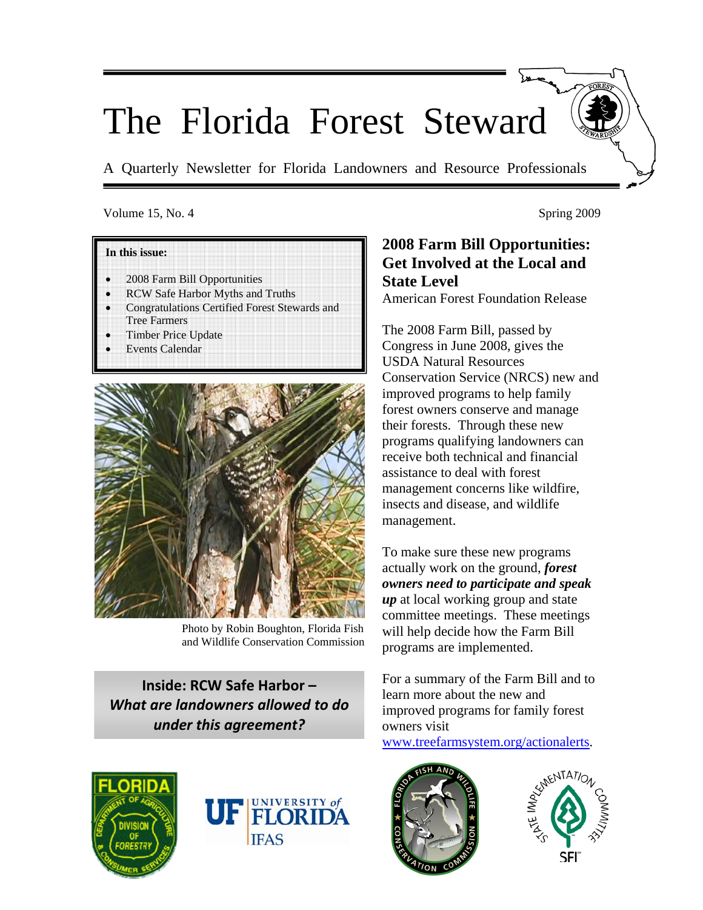# The Florida Forest Steward

A Quarterly Newsletter for Florida Landowners and Resource Professionals

#### Volume 15, No. 4 Spring 2009

#### **In this issue:**

- 2008 Farm Bill Opportunities
- RCW Safe Harbor Myths and Truths
- Congratulations Certified Forest Stewards and Tree Farmers
- Timber Price Update
- **Events Calendar**



Photo by Robin Boughton, Florida Fish and Wildlife Conservation Commission

**Inside: RCW Safe Harbor –** *What are landowners allowed to do under this agreement?* 





## **2008 Farm Bill Opportunities: Get Involved at the Local and State Level**

American Forest Foundation Release

The 2008 Farm Bill, passed by Congress in June 2008, gives the USDA Natural Resources Conservation Service (NRCS) new and improved programs to help family forest owners conserve and manage their forests. Through these new programs qualifying landowners can receive both technical and financial assistance to deal with forest management concerns like wildfire, insects and disease, and wildlife management.

To make sure these new programs actually work on the ground, *forest owners need to participate and speak up* at local working group and state committee meetings. These meetings will help decide how the Farm Bill programs are implemented.

For a summary of the Farm Bill and to learn more about the new and improved programs for family forest owners visit

www.treefarmsystem.org/actionalerts.



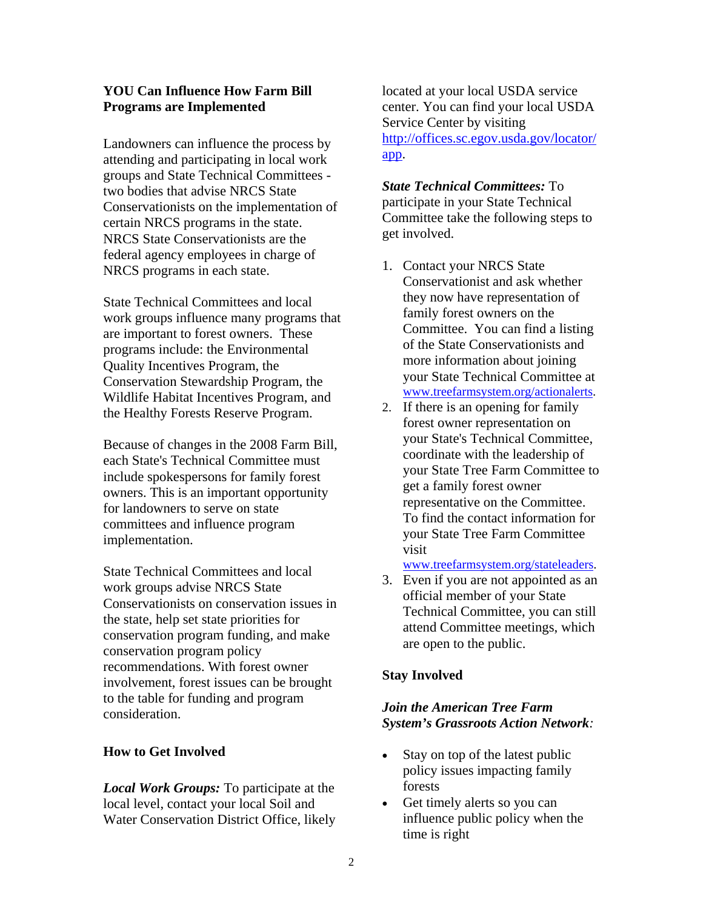#### **YOU Can Influence How Farm Bill Programs are Implemented**

Landowners can influence the process by attending and participating in local work groups and State Technical Committees two bodies that advise NRCS State Conservationists on the implementation of certain NRCS programs in the state. NRCS State Conservationists are the federal agency employees in charge of NRCS programs in each state.

State Technical Committees and local work groups influence many programs that are important to forest owners. These programs include: the Environmental Quality Incentives Program, the Conservation Stewardship Program, the Wildlife Habitat Incentives Program, and the Healthy Forests Reserve Program.

Because of changes in the 2008 Farm Bill, each State's Technical Committee must include spokespersons for family forest owners. This is an important opportunity for landowners to serve on state committees and influence program implementation.

State Technical Committees and local work groups advise NRCS State Conservationists on conservation issues in the state, help set state priorities for conservation program funding, and make conservation program policy recommendations. With forest owner involvement, forest issues can be brought to the table for funding and program consideration.

#### **How to Get Involved**

*Local Work Groups:* To participate at the local level, contact your local Soil and Water Conservation District Office, likely located at your local USDA service center. You can find your local USDA Service Center by visiting http://offices.sc.egov.usda.gov/locator/ app.

*State Technical Committees:* To participate in your State Technical Committee take the following steps to get involved.

- 1. Contact your NRCS State Conservationist and ask whether they now have representation of family forest owners on the Committee. You can find a listing of the State Conservationists and more information about joining your State Technical Committee at www.treefarmsystem.org/actionalerts.
- 2. If there is an opening for family forest owner representation on your State's Technical Committee, coordinate with the leadership of your State Tree Farm Committee to get a family forest owner representative on the Committee. To find the contact information for your State Tree Farm Committee visit

#### www.treefarmsystem.org/stateleaders.

3. Even if you are not appointed as an official member of your State Technical Committee, you can still attend Committee meetings, which are open to the public.

#### **Stay Involved**

#### *Join the American Tree Farm System's Grassroots Action Network:*

- Stay on top of the latest public policy issues impacting family forests
- Get timely alerts so you can influence public policy when the time is right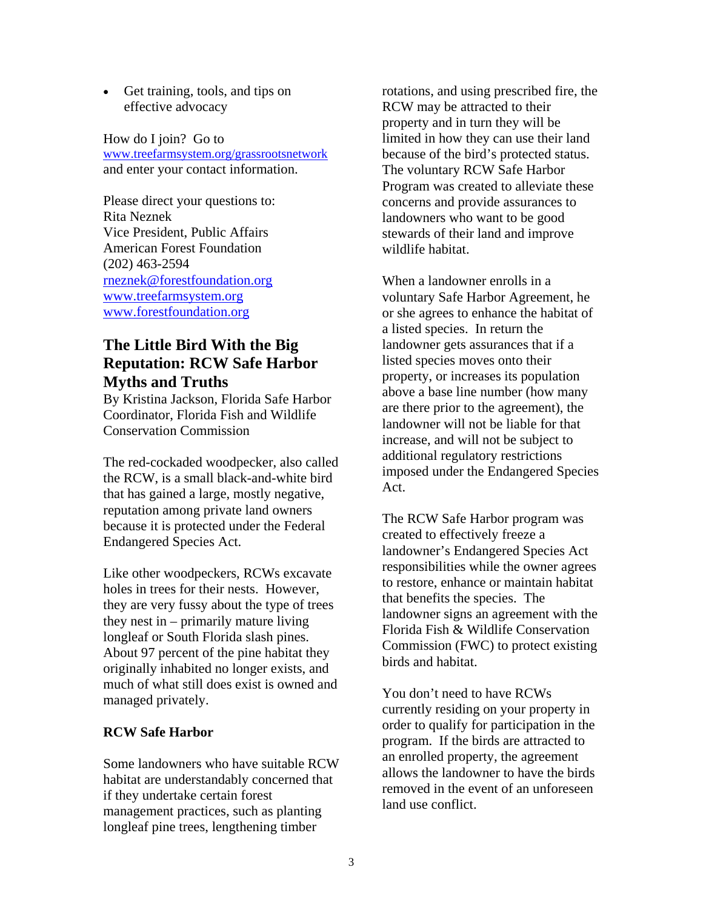• Get training, tools, and tips on effective advocacy

How do I join? Go to www.treefarmsystem.org/grassrootsnetwork and enter your contact information.

Please direct your questions to: Rita Neznek Vice President, Public Affairs American Forest Foundation (202) 463-2594 rneznek@forestfoundation.org www.treefarmsystem.org www.forestfoundation.org

## **The Little Bird With the Big Reputation: RCW Safe Harbor Myths and Truths**

By Kristina Jackson, Florida Safe Harbor Coordinator, Florida Fish and Wildlife Conservation Commission

The red-cockaded woodpecker, also called the RCW, is a small black-and-white bird that has gained a large, mostly negative, reputation among private land owners because it is protected under the Federal Endangered Species Act.

Like other woodpeckers, RCWs excavate holes in trees for their nests. However, they are very fussy about the type of trees they nest in – primarily mature living longleaf or South Florida slash pines. About 97 percent of the pine habitat they originally inhabited no longer exists, and much of what still does exist is owned and managed privately.

#### **RCW Safe Harbor**

Some landowners who have suitable RCW habitat are understandably concerned that if they undertake certain forest management practices, such as planting longleaf pine trees, lengthening timber

rotations, and using prescribed fire, the RCW may be attracted to their property and in turn they will be limited in how they can use their land because of the bird's protected status. The voluntary RCW Safe Harbor Program was created to alleviate these concerns and provide assurances to landowners who want to be good stewards of their land and improve wildlife habitat.

When a landowner enrolls in a voluntary Safe Harbor Agreement, he or she agrees to enhance the habitat of a listed species. In return the landowner gets assurances that if a listed species moves onto their property, or increases its population above a base line number (how many are there prior to the agreement), the landowner will not be liable for that increase, and will not be subject to additional regulatory restrictions imposed under the Endangered Species Act.

The RCW Safe Harbor program was created to effectively freeze a landowner's Endangered Species Act responsibilities while the owner agrees to restore, enhance or maintain habitat that benefits the species. The landowner signs an agreement with the Florida Fish & Wildlife Conservation Commission (FWC) to protect existing birds and habitat.

You don't need to have RCWs currently residing on your property in order to qualify for participation in the program. If the birds are attracted to an enrolled property, the agreement allows the landowner to have the birds removed in the event of an unforeseen land use conflict.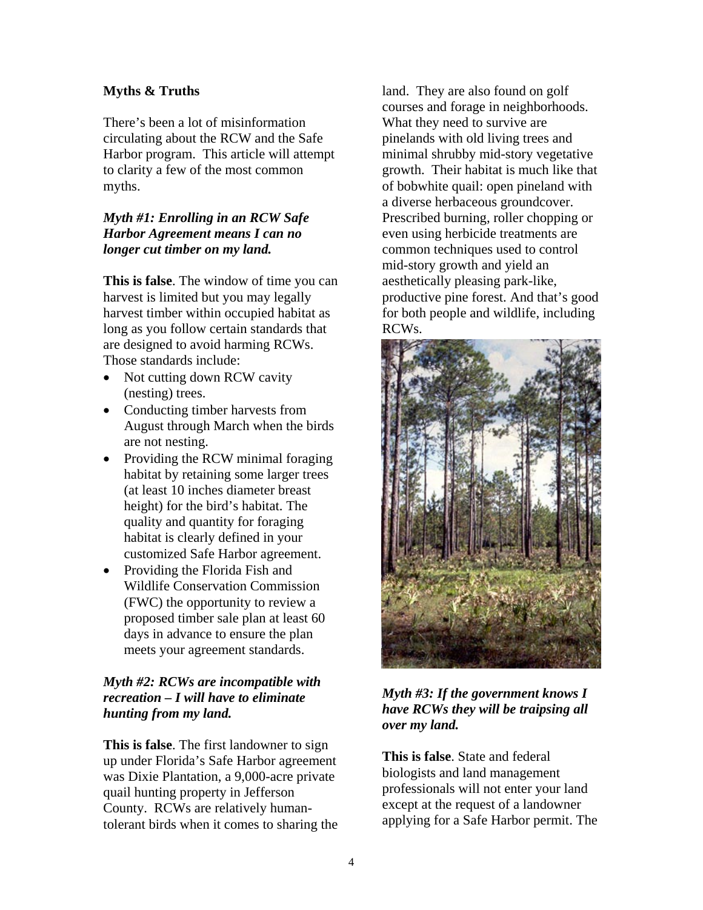#### **Myths & Truths**

There's been a lot of misinformation circulating about the RCW and the Safe Harbor program. This article will attempt to clarity a few of the most common myths.

#### *Myth #1: Enrolling in an RCW Safe Harbor Agreement means I can no longer cut timber on my land.*

**This is false**. The window of time you can harvest is limited but you may legally harvest timber within occupied habitat as long as you follow certain standards that are designed to avoid harming RCWs. Those standards include:

- Not cutting down RCW cavity (nesting) trees.
- Conducting timber harvests from August through March when the birds are not nesting.
- Providing the RCW minimal foraging habitat by retaining some larger trees (at least 10 inches diameter breast height) for the bird's habitat. The quality and quantity for foraging habitat is clearly defined in your customized Safe Harbor agreement.
- Providing the Florida Fish and Wildlife Conservation Commission (FWC) the opportunity to review a proposed timber sale plan at least 60 days in advance to ensure the plan meets your agreement standards.

### *Myth #2: RCWs are incompatible with recreation – I will have to eliminate hunting from my land.*

**This is false**. The first landowner to sign up under Florida's Safe Harbor agreement was Dixie Plantation, a 9,000-acre private quail hunting property in Jefferson County. RCWs are relatively humantolerant birds when it comes to sharing the land. They are also found on golf courses and forage in neighborhoods. What they need to survive are pinelands with old living trees and minimal shrubby mid-story vegetative growth. Their habitat is much like that of bobwhite quail: open pineland with a diverse herbaceous groundcover. Prescribed burning, roller chopping or even using herbicide treatments are common techniques used to control mid-story growth and yield an aesthetically pleasing park-like, productive pine forest. And that's good for both people and wildlife, including RCWs.



#### *Myth #3: If the government knows I have RCWs they will be traipsing all over my land.*

**This is false**. State and federal biologists and land management professionals will not enter your land except at the request of a landowner applying for a Safe Harbor permit. The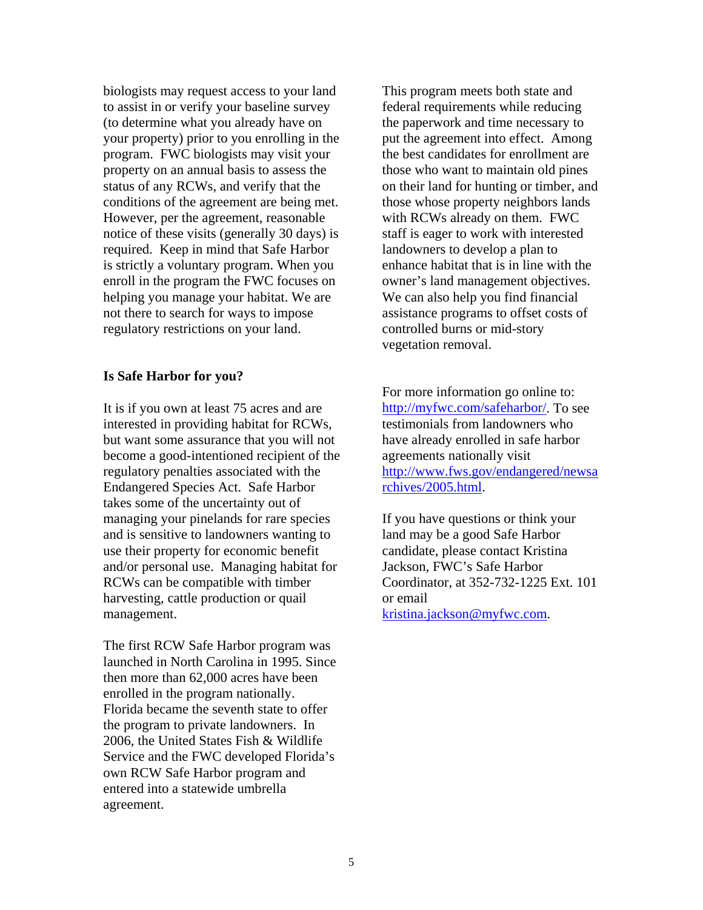biologists may request access to your land to assist in or verify your baseline survey (to determine what you already have on your property) prior to you enrolling in the program. FWC biologists may visit your property on an annual basis to assess the status of any RCWs, and verify that the conditions of the agreement are being met. However, per the agreement, reasonable notice of these visits (generally 30 days) is required. Keep in mind that Safe Harbor is strictly a voluntary program. When you enroll in the program the FWC focuses on helping you manage your habitat. We are not there to search for ways to impose regulatory restrictions on your land.

#### **Is Safe Harbor for you?**

It is if you own at least 75 acres and are interested in providing habitat for RCWs, but want some assurance that you will not become a good-intentioned recipient of the regulatory penalties associated with the Endangered Species Act. Safe Harbor takes some of the uncertainty out of managing your pinelands for rare species and is sensitive to landowners wanting to use their property for economic benefit and/or personal use. Managing habitat for RCWs can be compatible with timber harvesting, cattle production or quail management.

The first RCW Safe Harbor program was launched in North Carolina in 1995. Since then more than 62,000 acres have been enrolled in the program nationally. Florida became the seventh state to offer the program to private landowners. In 2006, the United States Fish & Wildlife Service and the FWC developed Florida's own RCW Safe Harbor program and entered into a statewide umbrella agreement.

This program meets both state and federal requirements while reducing the paperwork and time necessary to put the agreement into effect. Among the best candidates for enrollment are those who want to maintain old pines on their land for hunting or timber, and those whose property neighbors lands with RCWs already on them. FWC staff is eager to work with interested landowners to develop a plan to enhance habitat that is in line with the owner's land management objectives. We can also help you find financial assistance programs to offset costs of controlled burns or mid-story vegetation removal.

For more information go online to: http://myfwc.com/safeharbor/. To see testimonials from landowners who have already enrolled in safe harbor agreements nationally visit http://www.fws.gov/endangered/newsa rchives/2005.html.

If you have questions or think your land may be a good Safe Harbor candidate, please contact Kristina Jackson, FWC's Safe Harbor Coordinator, at 352-732-1225 Ext. 101 or email kristina.jackson@myfwc.com.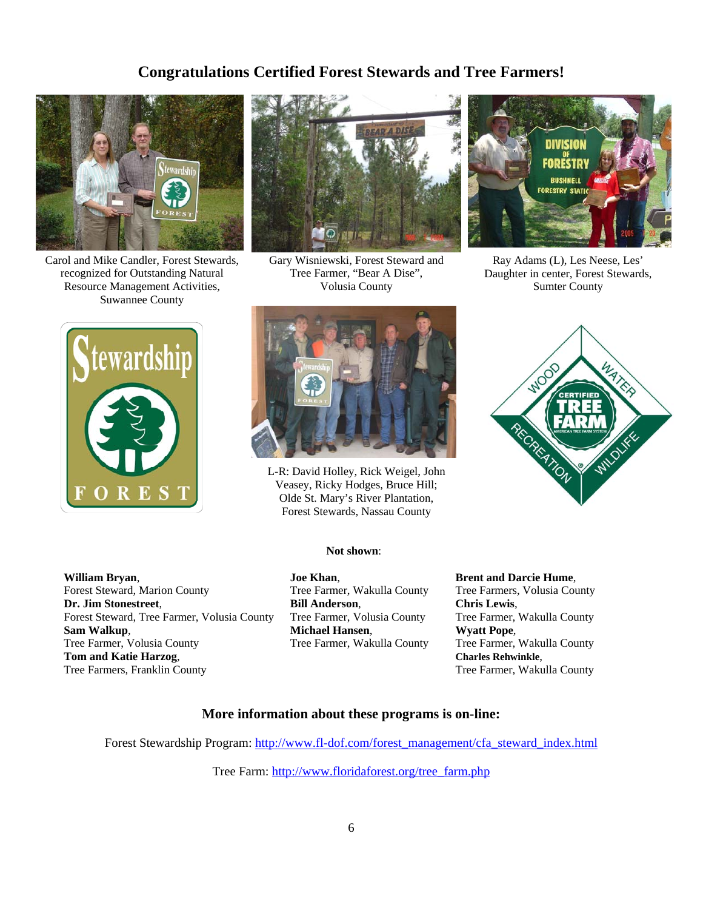## **Congratulations Certified Forest Stewards and Tree Farmers!**



Carol and Mike Candler, Forest Stewards, recognized for Outstanding Natural Resource Management Activities, Suwannee County



Gary Wisniewski, Forest Steward and Tree Farmer, "Bear A Dise", Volusia County



Ray Adams (L), Les Neese, Les' Daughter in center, Forest Stewards, Sumter County





L-R: David Holley, Rick Weigel, John Veasey, Ricky Hodges, Bruce Hill; Olde St. Mary's River Plantation, Forest Stewards, Nassau County



**William Bryan**, Forest Steward, Marion County **Dr. Jim Stonestreet**, Forest Steward, Tree Farmer, Volusia County **Sam Walkup**, Tree Farmer, Volusia County **Tom and Katie Harzog**, Tree Farmers, Franklin County

#### **Not shown**:

**Joe Khan**, Tree Farmer, Wakulla County **Bill Anderson**, Tree Farmer, Volusia County **Michael Hansen**, Tree Farmer, Wakulla County **Brent and Darcie Hume**,

Tree Farmers, Volusia County **Chris Lewis**, Tree Farmer, Wakulla County **Wyatt Pope**, Tree Farmer, Wakulla County **Charles Rehwinkle**, Tree Farmer, Wakulla County

#### **More information about these programs is on-line:**

Forest Stewardship Program: http://www.fl-dof.com/forest\_management/cfa\_steward\_index.html

Tree Farm: http://www.floridaforest.org/tree\_farm.php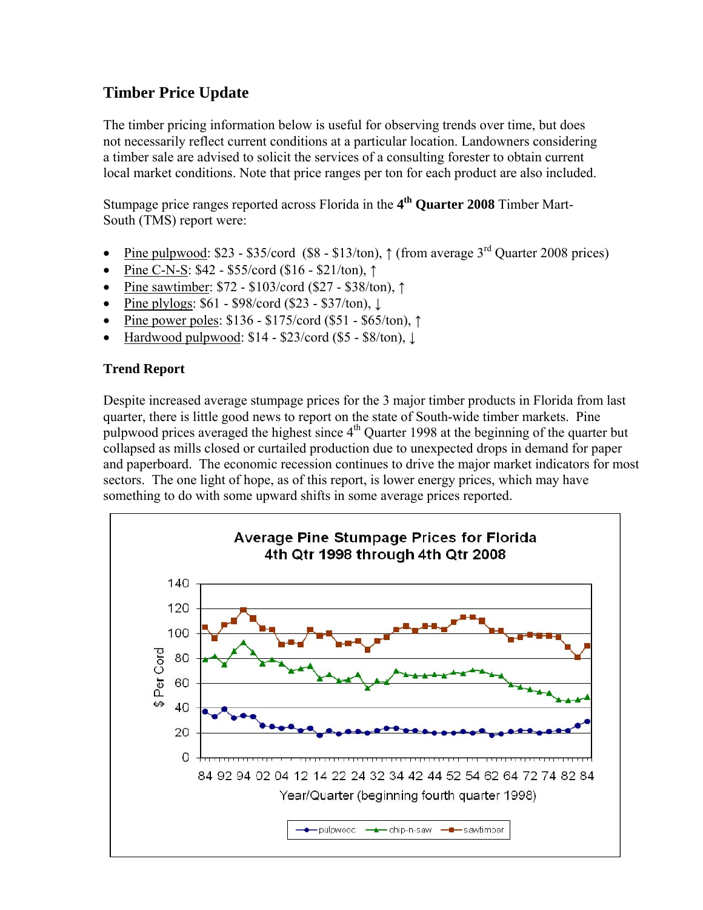## **Timber Price Update**

The timber pricing information below is useful for observing trends over time, but does not necessarily reflect current conditions at a particular location. Landowners considering a timber sale are advised to solicit the services of a consulting forester to obtain current local market conditions. Note that price ranges per ton for each product are also included.

Stumpage price ranges reported across Florida in the **4th Quarter 2008** Timber Mart-South (TMS) report were:

- Pine pulpwood: \$23 \$35/cord (\$8 \$13/ton),  $\uparrow$  (from average 3<sup>rd</sup> Quarter 2008 prices)
- Pine C-N-S: \$42 \$55/cord (\$16 \$21/ton), ↑
- Pine sawtimber: \$72 \$103/cord (\$27 \$38/ton), ↑
- Pine plylogs:  $$61 $98/\text{cord} ( $23 $37/\text{ton})$ ,  $\downarrow$
- Pine power poles: \$136 \$175/cord (\$51 \$65/ton), ↑
- Hardwood pulpwood:  $$14 $23/\text{cord}$  (\$5 \$8/ton),  $\downarrow$

## **Trend Report**

Despite increased average stumpage prices for the 3 major timber products in Florida from last quarter, there is little good news to report on the state of South-wide timber markets. Pine pulpwood prices averaged the highest since 4<sup>th</sup> Quarter 1998 at the beginning of the quarter but collapsed as mills closed or curtailed production due to unexpected drops in demand for paper and paperboard. The economic recession continues to drive the major market indicators for most sectors. The one light of hope, as of this report, is lower energy prices, which may have something to do with some upward shifts in some average prices reported.